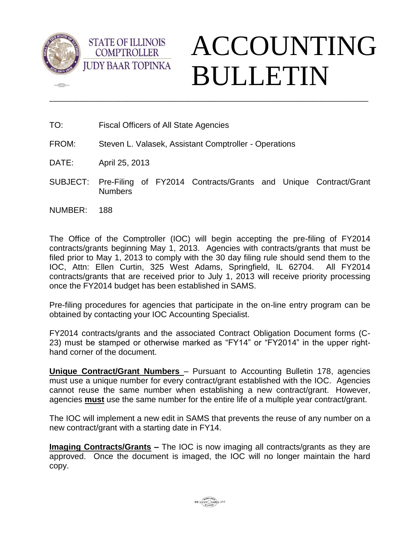

 $\sqrt{2\pi}$ 



TO: Fiscal Officers of All State Agencies

**STATE OF ILLINOIS COMPTROLLER** 

- FROM: Steven L. Valasek, Assistant Comptroller Operations
- DATE: April 25, 2013
- SUBJECT: Pre-Filing of FY2014 Contracts/Grants and Unique Contract/Grant Numbers

\_\_\_\_\_\_\_\_\_\_\_\_\_\_\_\_\_\_\_\_\_\_\_\_\_\_\_\_\_\_\_\_\_\_\_\_\_\_\_\_\_\_\_\_\_\_\_\_\_\_\_\_\_\_\_\_\_\_\_\_\_\_\_\_\_\_\_\_\_\_\_\_\_\_\_\_\_\_\_\_\_\_\_\_\_

NUMBER: 188

The Office of the Comptroller (IOC) will begin accepting the pre-filing of FY2014 contracts/grants beginning May 1, 2013. Agencies with contracts/grants that must be filed prior to May 1, 2013 to comply with the 30 day filing rule should send them to the IOC, Attn: Ellen Curtin, 325 West Adams, Springfield, IL 62704. All FY2014 contracts/grants that are received prior to July 1, 2013 will receive priority processing once the FY2014 budget has been established in SAMS.

Pre-filing procedures for agencies that participate in the on-line entry program can be obtained by contacting your IOC Accounting Specialist.

FY2014 contracts/grants and the associated Contract Obligation Document forms (C-23) must be stamped or otherwise marked as "FY14" or "FY2014" in the upper righthand corner of the document.

**Unique Contract/Grant Numbers** – Pursuant to Accounting Bulletin 178, agencies must use a unique number for every contract/grant established with the IOC. Agencies cannot reuse the same number when establishing a new contract/grant. However, agencies **must** use the same number for the entire life of a multiple year contract/grant.

The IOC will implement a new edit in SAMS that prevents the reuse of any number on a new contract/grant with a starting date in FY14.

**Imaging Contracts/Grants –** The IOC is now imaging all contracts/grants as they are approved. Once the document is imaged, the IOC will no longer maintain the hard copy.